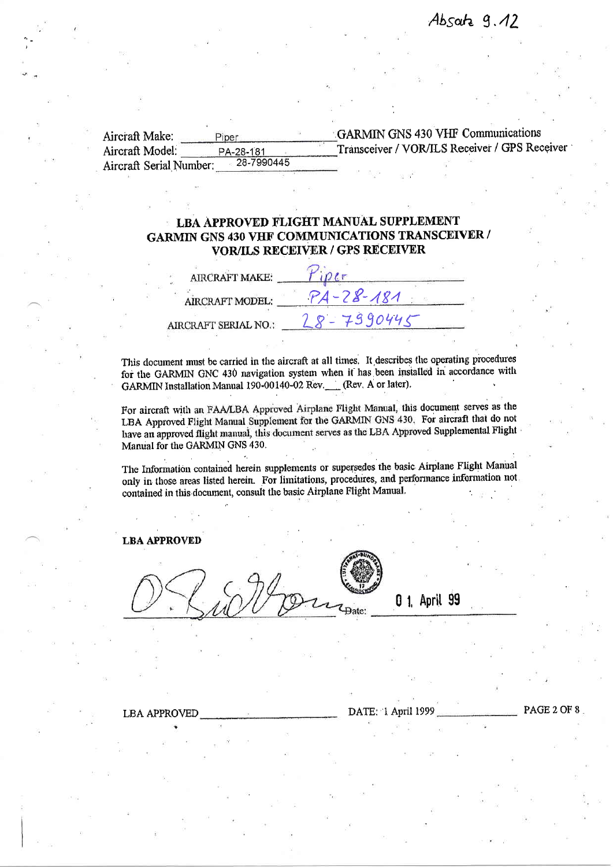| Aircraft Make:          | Piper      | <b>GARMIN GNS 430 VHF Communications</b>      |
|-------------------------|------------|-----------------------------------------------|
| Aircraft Model:         | PA-28-181  | Transceiver / VOR/ILS Receiver / GPS Receiver |
| Aircraft Serial Number: | 28-7990445 |                                               |

# LBA APPROVED FLIGHT MANUAL SUPPLEMENT GARMIN GNS 430 VHF COMMUNICATIONS TRANSCEIVER / VOR/ILS RECEIVER / GPS RECEIVER

| <b>AIRCRAFT MAKE:</b>  |             |  |
|------------------------|-------------|--|
| <b>AIRCRAFT MODEL:</b> | $-28 - 181$ |  |
| AIRCRAFT SERIAL NO.:   | 7390445     |  |

This document must be carried in the aircraft at all times. It describes the operating procedures for the GARMIN GNC 430 navigation system when it has been installed in accordance with GARMIN Installation Manual 190-00140-02 Rev. (Rev, A or later).

For aircraft with an FAA/LBA Approved Airplane Flight Manual, this document serves as the LBA Approved Flight Manual Supplement for the GARMIN GNS 430. For aircraft that do not have an approved flight manual, this document serves as the LBA Approved Supplemental Flight Manual for the GARMIN GNS 430.

The Information contained herein supplements or supersedes the basic Airplane Flight Manual only in those areas listed herein. For limitations, procedures, and performance information not contained in this document, consult the basic Airplane Flight Manual.

## LBA APPROVED

 $z_{\rm{Date}}$ 

0 1, April 99

# LBA APPROVED DATE: l April 1999 PAGE 2 OF 8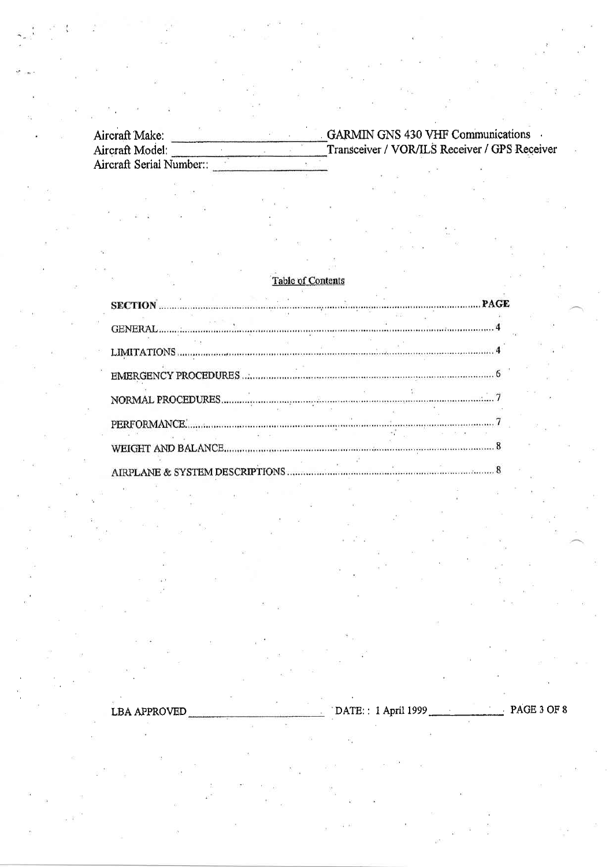**GARMIN GNS 430 VHF Communications** Aircraft Make: Aircraft Model: Transceiver / VOR/ILS Receiver / GPS Receiver  $\ddot{\phantom{a}}$ Aircraft Serial Number:

## **Table of Contents**

|                                  |  | AND.                                                                                                                                                                                                                            |            |  |
|----------------------------------|--|---------------------------------------------------------------------------------------------------------------------------------------------------------------------------------------------------------------------------------|------------|--|
|                                  |  |                                                                                                                                                                                                                                 |            |  |
|                                  |  |                                                                                                                                                                                                                                 |            |  |
|                                  |  |                                                                                                                                                                                                                                 |            |  |
|                                  |  |                                                                                                                                                                                                                                 | 54 1.80 90 |  |
|                                  |  |                                                                                                                                                                                                                                 |            |  |
| AIDDI ANIE & SVSTEM DESCRIPTIONS |  | $\bm{s}$ . The corresponding to the corresponding to the corresponding to the corresponding to the corresponding to the corresponding to the corresponding to the corresponding to the corresponding to the corresponding to th |            |  |

DATE:: 1 April 1999 PAGE 3 OF 8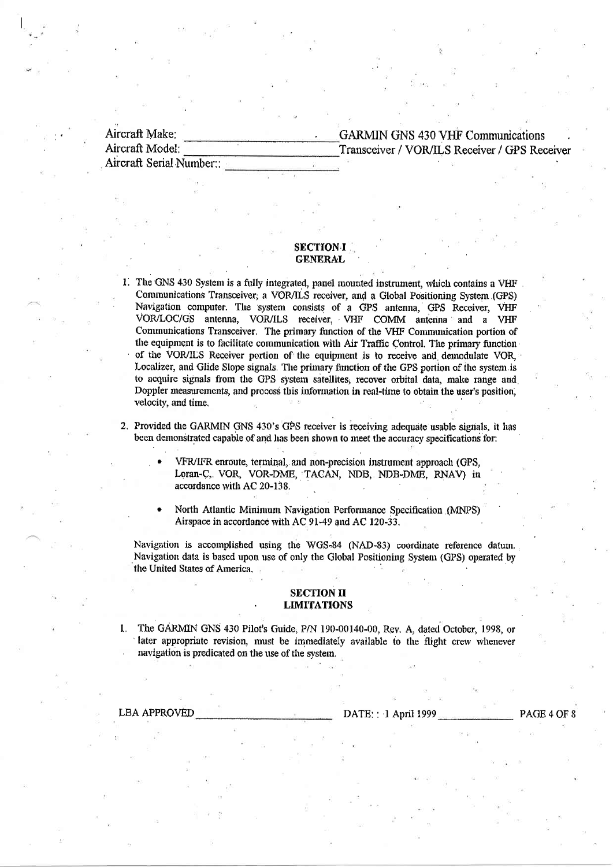Aircraft Make: Aircraft Model: Aircraft Serial Number:: **GARMIN GNS 430 VHF Communications** Transceiver / VOR/ILS Receiver / GPS Receiver

## **SECTION-I GENERAL**

- 1. The GNS 430 System is a fully integrated, panel mounted instrument, which contains a VHF Communications Transceiver, a VOR/ILS receiver, and a Global Positioning System (GPS) Navigation computer. The system consists of a GPS antenna, GPS Receiver, VHF VOR/LOC/GS antenna, VOR/ILS receiver, VHF COMM antenna and a VHF Communications Transceiver. The primary function of the VHF Communication portion of the equipment is to facilitate communication with Air Traffic Control. The primary function of the VOR/ILS Receiver portion of the equipment is to receive and demodulate VOR, Localizer, and Glide Slope signals. The primary function of the GPS portion of the system is to acquire signals from the GPS system satellites, recover orbital data, make range and Doppler measurements, and process this information in real-time to obtain the user's position. velocity, and time,
- 2. Provided the GARMIN GNS 430's GPS receiver is receiving adequate usable signals, it has been demonstrated capable of and has been shown to meet the accuracy specifications for:
	- VFR/IFR enroute, terminal, and non-precision instrument approach (GPS, Loran-C, VOR, VOR-DME, TACAN, NDB, NDB-DME, RNAV) in accordance with AC 20-138.
	- North Atlantic Minimum Navigation Performance Specification (MNPS) Airspace in accordance with AC 91-49 and AC 120-33.

Navigation is accomplished using the WGS-84 (NAD-83) coordinate reference datum. Navigation data is based upon use of only the Global Positioning System (GPS) operated by the United States of America.

#### **SECTION II LIMITATIONS**

The GARMIN GNS 430 Pilot's Guide, P/N 190-00140-00, Rev. A, dated October, 1998, or  $\mathbf{1}$ later appropriate revision, must be immediately available to the flight crew whenever navigation is predicated on the use of the system.

**LBA APPROVED** 

#### DATE: : 1 April 1999

PAGE 4 OF 8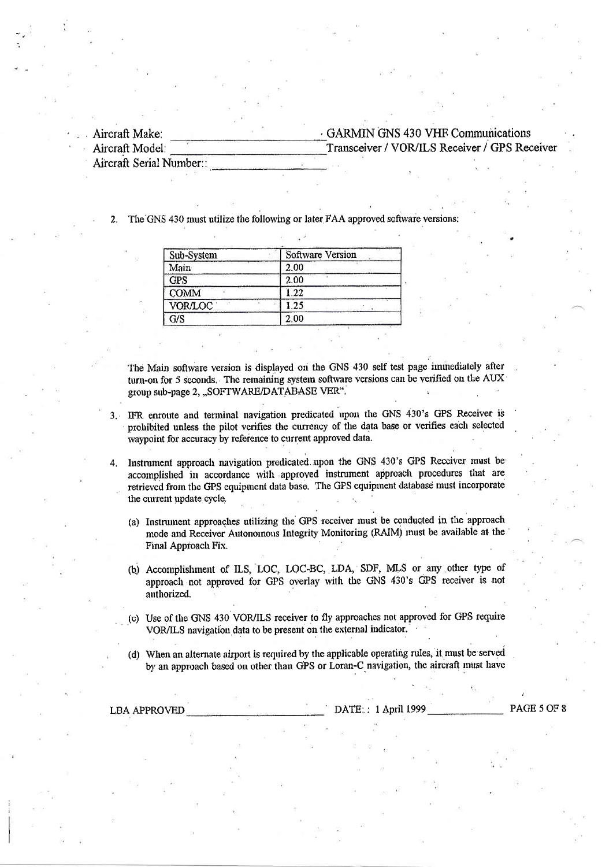Aircraft Make: Aircraft Model:

# GARMIN GNS 430 VHF Communications Transceiver / VOR/ILS Receiver / GPS Receiver

Aircraft Serial Number::

The GNS 430 must utilize the following or later FAA approved software versions:

| Sub-System  | <b>Software Version</b> |  |  |  |
|-------------|-------------------------|--|--|--|
| Main        | 2.00                    |  |  |  |
| <b>GPS</b>  | 2.00                    |  |  |  |
| <b>COMM</b> | 1.22                    |  |  |  |
| VOR/LOC     | 1.25                    |  |  |  |
| 5/S         | 2.00                    |  |  |  |

The Main software version is displayed on the GNS 430 self test page immediately after turn-on for 5 seconds. The remaining system software versions can be verified on the AUX group sub-page 2, "SOFTWARE/DATABASE VER".

- 3. IFR enroute and terminal navigation predicated upon the GNS 430's GPS Receiver is prohibited unless the pilot verifies the currency of the data base or verifies each selected waypoint for accuracy by reference to current approved data.
- Instrument approach navigation predicated upon the GNS 430's GPS Receiver must be 4. accomplished in accordance with approved instrument approach procedures that are retrieved from the GPS equipment data base. The GPS equipment database must incorporate the current update cycle.
	- (a) Instrument approaches utilizing the GPS receiver must be conducted in the approach mode and Receiver Autonomous Integrity Monitoring (RAIM) must be available at the Final Approach Fix.
	- (b) Accomplishment of ILS, LOC, LOC-BC, LDA, SDF, MLS or any other type of approach not approved for GPS overlay with the GNS 430's GPS receiver is not authorized.
	- (c) Use of the GNS 430 VOR/ILS receiver to fly approaches not approved for GPS require VOR/ILS navigation data to be present on the external indicator.
	- (d) When an alternate airport is required by the applicable operating rules, it must be served by an approach based on other than GPS or Loran-C navigation, the aircraft must have

**LBA APPROVED** 

DATE: : 1 April 1999

PAGE 5 OF 8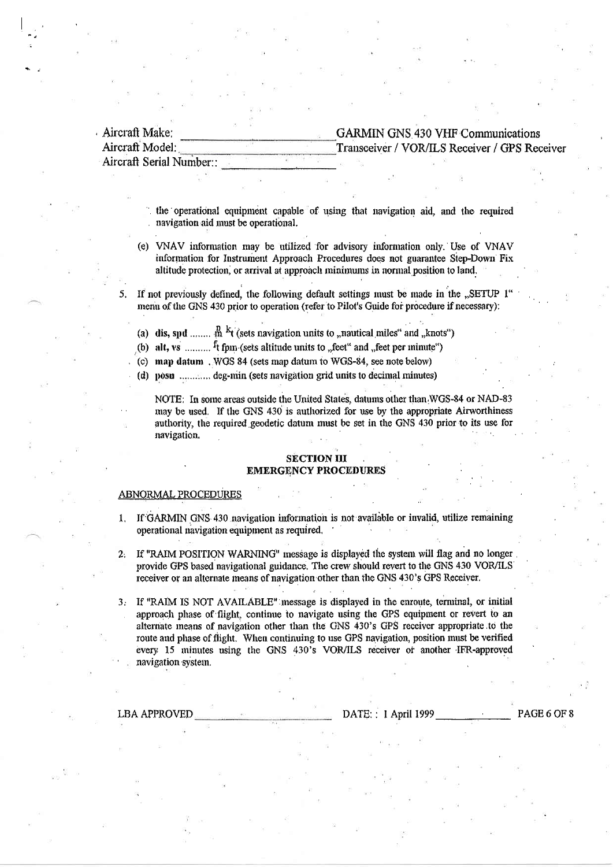| Aircraft Make:           | <b>GARMIN GNS 430 VHF Communications</b>     |
|--------------------------|----------------------------------------------|
| Aircraft Model:          | Transceiver / VOR/ILS Receiver / GPS Receive |
| Aircraft Serial Number:: |                                              |

the operational equipment capable of using that navigation aid, and the required navigation aid must be operational.

- (e) VNAV information may be utilized for advisory information only. Use of VNAV information for Instrument Approach Procedures does not guarantee Step-Down Fix altitude protection, or arrival at approach minimums in normal position to land.
- If not previously defined, the following default settings must be made in the "SETUP 1 menu of the GNS 430 prior to operation (refer to Pilot's Guide for procedure if necessary):
	- (a) dis, spd ........  $\stackrel{n}{m}$  <sup>k</sup>t (sets navigation units to "nautical miles" and "knots")
	- (b) alt, vs ..........  $f_t$  form (sets altitude units to , feet and , feet per minute")
	- $(c)$  map datum . WGS 84 (sets map datum to WGS-84, see note below)
	- (d) posu .............. deg-min (sets navigation grid units to decimal minutes)

NOTE: In some areas outside the United States, datums other than WGS-84 or NAD-83 may be used. If the GNS 430 is authorized for use by the appropriate Airworthiness authority, the required geodetic datum must be set in the GNS 430 prior to its use for navigation.

### **SECTION III EMERGENCY PROCEDURE**

#### **ABNORMAL PROCEDURES**

- If GARMIN GNS 430 navigation information is not available or invalid, utilize remaining  $\mathbf{1}$ . operational navigation equipment as required.
- If "RAIM POSITION WARNING" message is displayed the system will flag and no longer  $2.$ provide GPS based navigational guidance. The crew should revert to the GNS 430 VOR/ILS receiver or an alternate means of navigation other than the GNS 430's GPS Receiver.
- 3. If "RAIM IS NOT AVAILABLE" message is displayed in the enroute, terminal, or initial approach phase of flight, continue to navigate using the GPS equipment or revert to an alternate means of navigation other than the GNS 430's GPS receiver appropriate to the route and phase of flight. When continuing to use GPS navigation, position must be verified every 15 minutes using the GNS 430's VOR/ILS receiver or another IFR-approved navigation system.

**LBA APPROVED** 

DATE: : 1 April 1999

PAGE 6 OF 8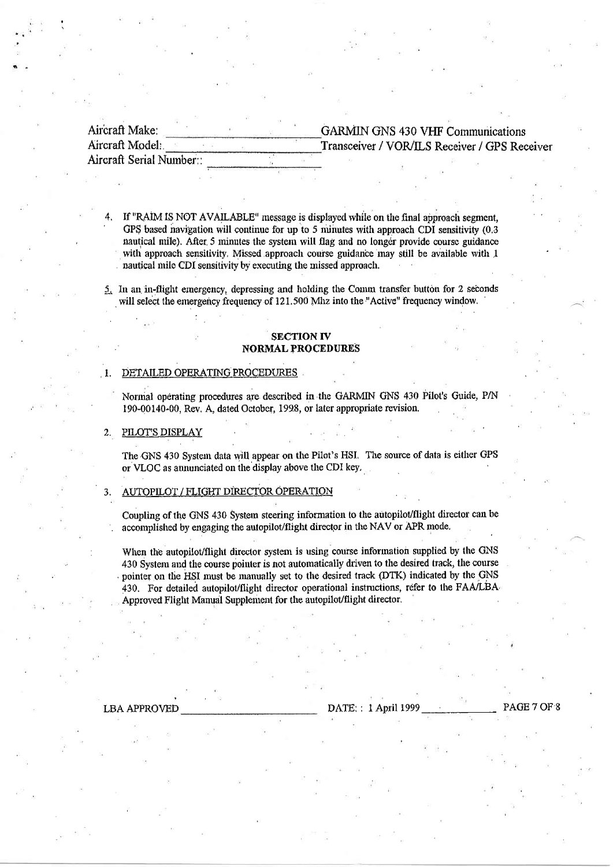| Aircraft Make:           |  | <b>GARMIN GNS 430 VHF Communications</b>      |  |  |  |  |
|--------------------------|--|-----------------------------------------------|--|--|--|--|
| Aircraft Model:          |  | Transceiver / VOR/ILS Receiver / GPS Receiver |  |  |  |  |
| Aircraft Serial Number:: |  |                                               |  |  |  |  |

If "RAIM IS NOT AVAILABLE" message is displayed while on the final approach segment, GPS based navigation will continue for up to 5 minutes with approach CDI sensitivity (0.3) nautical mile). After 5 minutes the system will flag and no longer provide course guidance with approach sensitivity. Missed approach course guidance may still be available with 1 nautical mile CDI sensitivity by executing the missed approach.

5. In an in-flight emergency, depressing and holding the Comm transfer button for 2 seconds will select the emergency frequency of 121.500 Mhz into the "Active" frequency window.

### **SECTION IV NORMAL PROCEDURES**

#### DETAILED OPERATING PROCEDURES  $\blacksquare$

Normal operating procedures are described in the GARMIN GNS 430 Pilot's Guide, P/N 190-00140-00, Rev. A. dated October, 1998, or later appropriate revision.

#### $2.$ PILOT'S DISPLAY

The GNS 430 System data will appear on the Pilot's HSI. The source of data is either GPS or VLOC as annunciated on the display above the CDI key.

#### AUTOPILOT / FLIGHT DIRECTOR OPERATION

Coupling of the GNS 430 System steering information to the autopilot/flight director can be accomplished by engaging the autopilot/flight director in the NAV or APR mode.

When the autopilot/flight director system is using course information supplied by the GNS 430 System and the course pointer is not automatically driven to the desired track, the course pointer on the HSI must be manually set to the desired track (DTK) indicated by the GNS 430. For detailed autopilot/flight director operational instructions, refer to the FAA/LBA Approved Flight Manual Supplement for the autopilot/flight director.

**LBA APPROVED** 

DATE:: 1 April 199

PAGE 7 OF 8